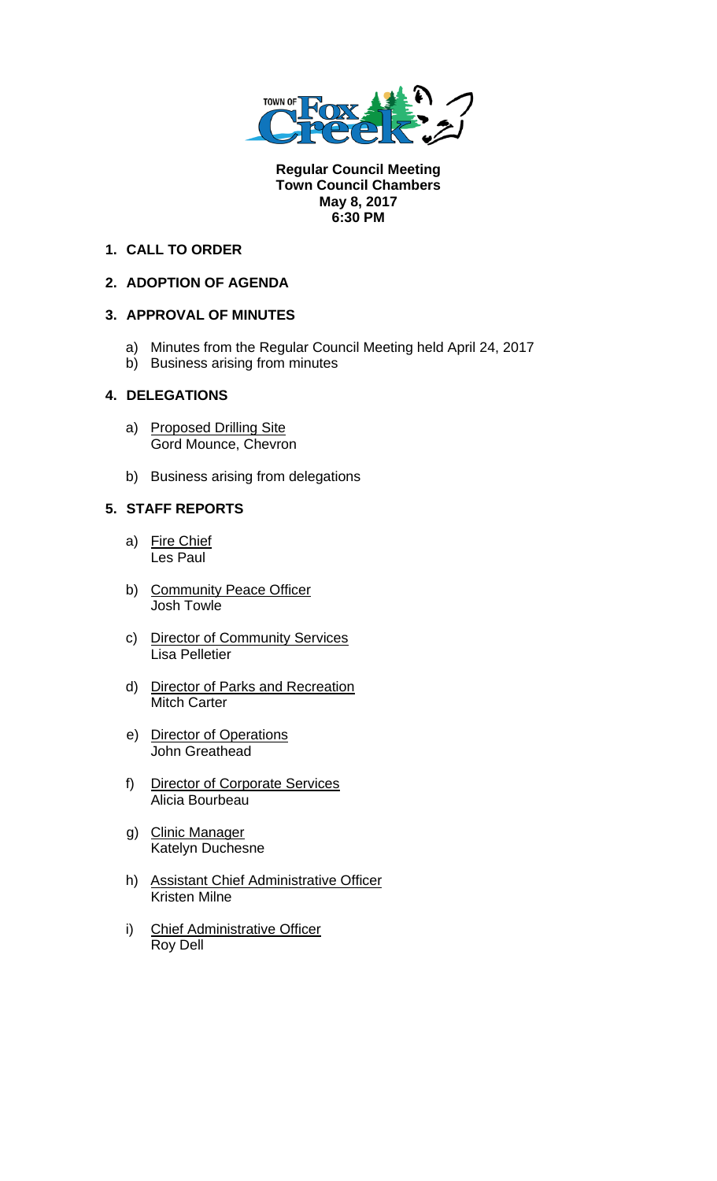

**Regular Council Meeting Town Council Chambers May 8, 2017 6:30 PM** 

# **1. CALL TO ORDER**

## **2. ADOPTION OF AGENDA**

### **3. APPROVAL OF MINUTES**

- a) Minutes from the Regular Council Meeting held April 24, 2017
- b) Business arising from minutes

## **4. DELEGATIONS**

- a) Proposed Drilling Site Gord Mounce, Chevron
- b) Business arising from delegations

## **5. STAFF REPORTS**

- a) Fire Chief Les Paul
- b) Community Peace Officer Josh Towle
- c) Director of Community Services Lisa Pelletier
- d) Director of Parks and Recreation **Mitch Carter**
- e) Director of Operations John Greathead
- f) Director of Corporate Services Alicia Bourbeau
- g) Clinic Manager Katelyn Duchesne
- h) Assistant Chief Administrative Officer Kristen Milne
- i) Chief Administrative Officer Roy Dell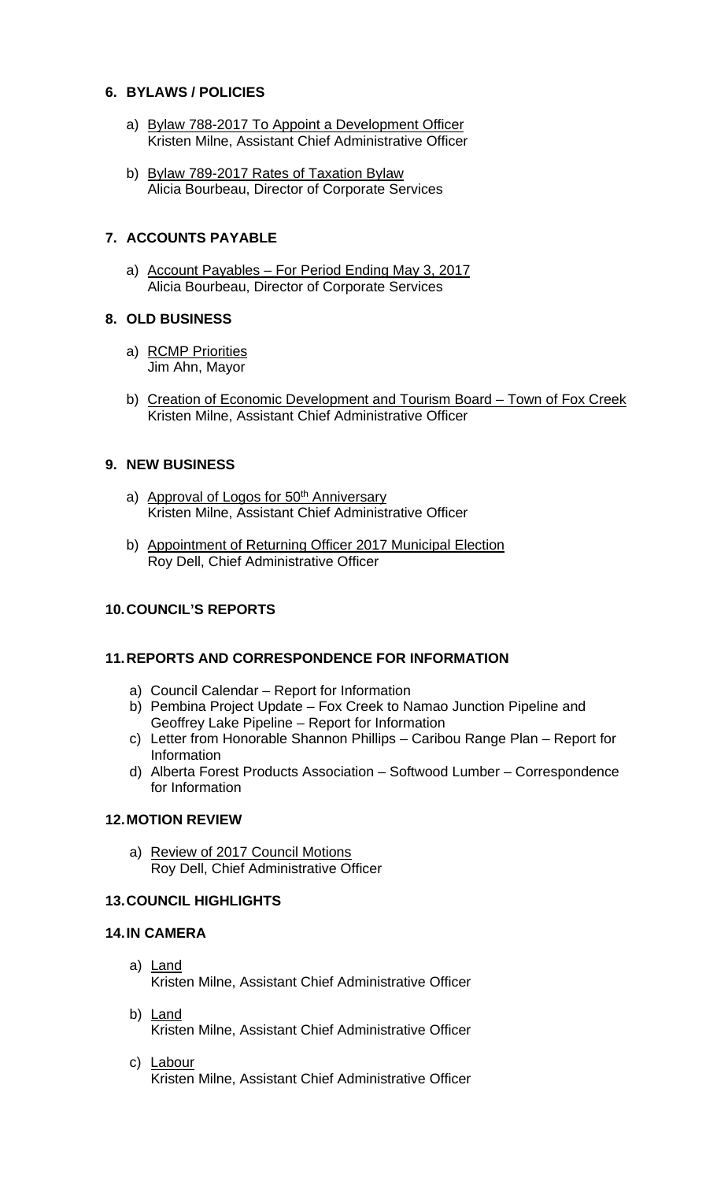### **6. BYLAWS / POLICIES**

- a) Bylaw 788-2017 To Appoint a Development Officer Kristen Milne, Assistant Chief Administrative Officer
- b) Bylaw 789-2017 Rates of Taxation Bylaw Alicia Bourbeau, Director of Corporate Services

# **7. ACCOUNTS PAYABLE**

a) Account Payables – For Period Ending May 3, 2017 Alicia Bourbeau, Director of Corporate Services

## **8. OLD BUSINESS**

- a) RCMP Priorities Jim Ahn, Mayor
- b) Creation of Economic Development and Tourism Board Town of Fox Creek Kristen Milne, Assistant Chief Administrative Officer

## **9. NEW BUSINESS**

- a) Approval of Logos for 50<sup>th</sup> Anniversary Kristen Milne, Assistant Chief Administrative Officer
- b) Appointment of Returning Officer 2017 Municipal Election Roy Dell, Chief Administrative Officer

## **10. COUNCIL'S REPORTS**

### **11. REPORTS AND CORRESPONDENCE FOR INFORMATION**

- a) Council Calendar Report for Information
- b) Pembina Project Update Fox Creek to Namao Junction Pipeline and Geoffrey Lake Pipeline – Report for Information
- c) Letter from Honorable Shannon Phillips Caribou Range Plan Report for Information
- d) Alberta Forest Products Association Softwood Lumber Correspondence for Information

### **12. MOTION REVIEW**

a) Review of 2017 Council Motions Roy Dell, Chief Administrative Officer

### **13. COUNCIL HIGHLIGHTS**

### **14. IN CAMERA**

- a) Land Kristen Milne, Assistant Chief Administrative Officer
- b) Land Kristen Milne, Assistant Chief Administrative Officer
- c) Labour Kristen Milne, Assistant Chief Administrative Officer